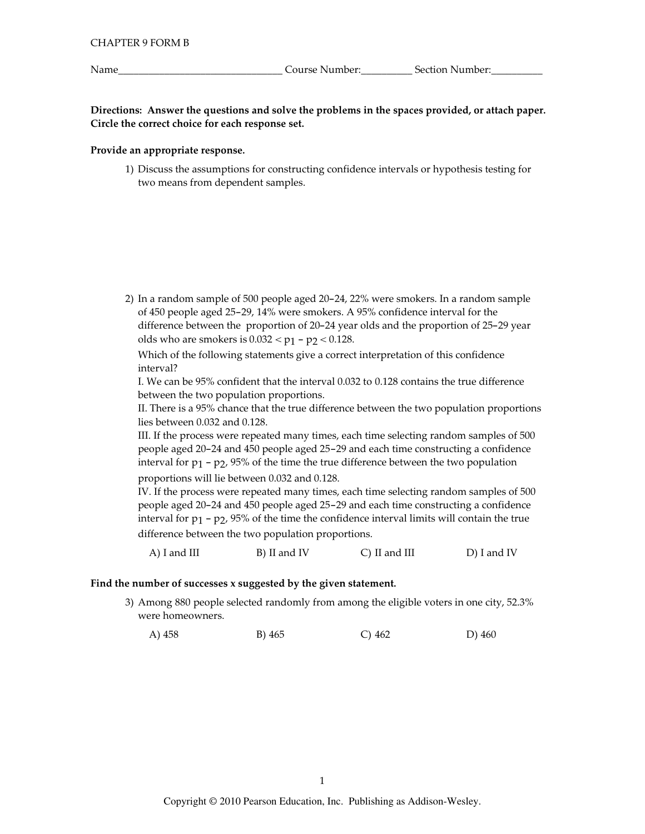Name

Course Number:<br>
<u>Course Number:</u>

Directions: Answer the questions and solve the problems in the spaces provided, or attach paper. Circle the correct choice for each response set.

### Provide an appropriate response.

1) Discuss the assumptions for constructing confidence intervals or hypothesis testing for two means from dependent samples.

2) In a random sample of 500 people aged 20-24, 22% were smokers. In a random sample of 450 people aged 25-29, 14% were smokers. A 95% confidence interval for the difference between the proportion of 20-24 year olds and the proportion of 25-29 year olds who are smokers is  $0.032 < p_1 - p_2 < 0.128$ .

Which of the following statements give a correct interpretation of this confidence interval?

I. We can be 95% confident that the interval 0.032 to 0.128 contains the true difference between the two population proportions.

II. There is a 95% chance that the true difference between the two population proportions lies between 0.032 and 0.128.

III. If the process were repeated many times, each time selecting random samples of 500 people aged 20-24 and 450 people aged 25-29 and each time constructing a confidence interval for  $p_1$  –  $p_2$ , 95% of the time the true difference between the two population proportions will lie between 0.032 and 0.128.

IV. If the process were repeated many times, each time selecting random samples of 500 people aged 20-24 and 450 people aged 25-29 and each time constructing a confidence interval for  $p_1$  –  $p_2$ , 95% of the time the confidence interval limits will contain the true difference between the two population proportions.

 $A)$  I and III B) II and IV  $C)$  II and III D) I and IV

### Find the number of successes x suggested by the given statement.

3) Among 880 people selected randomly from among the eligible voters in one city, 52.3% were homeowners.

A) 458 B) 465  $C)$  462 D) 460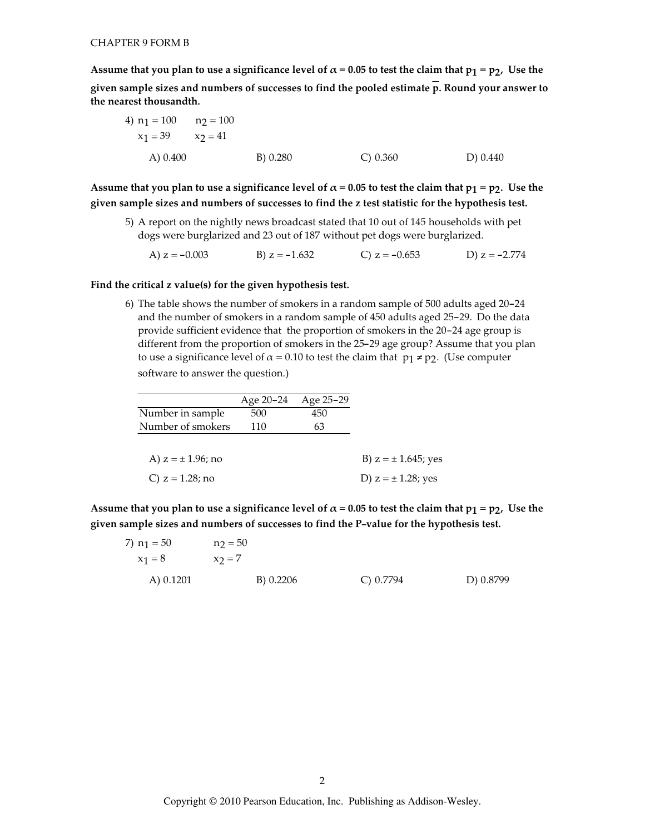Assume that you plan to use a significance level of  $\alpha$  = 0.05 to test the claim that  $p_1 = p_2$ , Use the given sample sizes and numbers of successes to find the pooled estimate  $\overline{p}$ . Round your answer to the nearest thousandth.

4) 
$$
n_1 = 100
$$
  $n_2 = 100$   
\n $x_1 = 39$   $x_2 = 41$   
\nA) 0.400 \nB) 0.280 \nC) 0.360 \nD) 0.440

Assume that you plan to use a significance level of  $\alpha$  = 0.05 to test the claim that  $p_1 = p_2$ . Use the given sample sizes and numbers of successes to find the z test statistic for the hypothesis test.

5) A report on the nightly news broadcast stated that 10 out of 145 households with pet dogs were burglarized and 23 out of 187 without pet dogs were burglarized.

A)  $z = -0.003$ B)  $z = -1.632$ C)  $z = -0.653$ D)  $z = -2.774$ 

## Find the critical z value(s) for the given hypothesis test.

6) The table shows the number of smokers in a random sample of 500 adults aged 20-24 and the number of smokers in a random sample of 450 adults aged 25-29. Do the data provide sufficient evidence that the proportion of smokers in the 20-24 age group is different from the proportion of smokers in the 25-29 age group? Assume that you plan to use a significance level of  $\alpha$  = 0.10 to test the claim that  $p_1 \neq p_2$ . (Use computer software to answer the question.)

|                        | Age 20-24 | Age 25-29 |                          |
|------------------------|-----------|-----------|--------------------------|
| Number in sample       | 500       | 450       |                          |
| Number of smokers      | 110       | 63        |                          |
|                        |           |           |                          |
| A) $z = \pm 1.96$ ; no |           |           | B) $z = \pm 1.645$ ; yes |
| C) $z = 1.28$ ; no     |           |           | D) $z = \pm 1.28$ ; yes  |

Assume that you plan to use a significance level of  $\alpha$  = 0.05 to test the claim that  $p_1 = p_2$ , Use the given sample sizes and numbers of successes to find the P-value for the hypothesis test.

| 7) $n_1 = 50$ | $n_2 = 50$ |           |           |
|---------------|------------|-----------|-----------|
| $x_1 = 8$     | $x_2 = 7$  |           |           |
| A) 0.1201     | B) 0.2206  | C) 0.7794 | D) 0.8799 |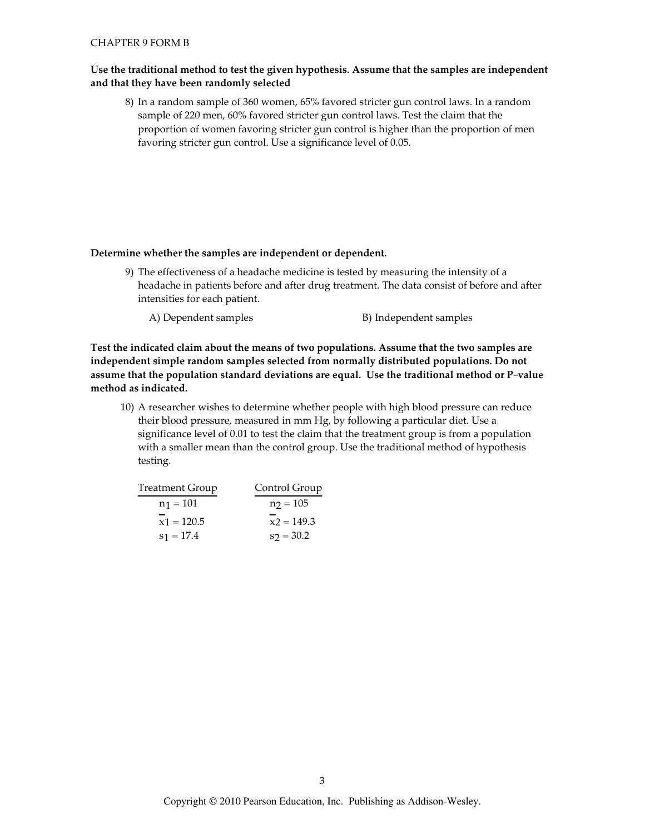### **CHAPTER 9 FORM B**

# Use the traditional method to test the given hypothesis. Assume that the samples are independent and that they have been randomly selected

8) In a random sample of 360 women, 65% favored stricter gun control laws. In a random sample of 220 men, 60% favored stricter gun control laws. Test the claim that the proportion of women favoring stricter gun control is higher than the proportion of men favoring stricter gun control. Use a significance level of 0.05.

### Determine whether the samples are independent or dependent.

- 9) The effectiveness of a headache medicine is tested by measuring the intensity of a headache in patients before and after drug treatment. The data consist of before and after intensities for each patient.
	- B) Independent samples A) Dependent samples

Test the indicated claim about the means of two populations. Assume that the two samples are independent simple random samples selected from normally distributed populations. Do not assume that the population standard deviations are equal. Use the traditional method or P-value method as indicated.

10) A researcher wishes to determine whether people with high blood pressure can reduce their blood pressure, measured in mm Hg, by following a particular diet. Use a significance level of 0.01 to test the claim that the treatment group is from a population with a smaller mean than the control group. Use the traditional method of hypothesis testing.

| Treatment Group | Control Group |
|-----------------|---------------|
| $n_1 = 101$     | $n_2 = 105$   |
| $x1 = 120.5$    | $x2 = 149.3$  |
| $s_1 = 17.4$    | $s_2 = 30.2$  |
|                 |               |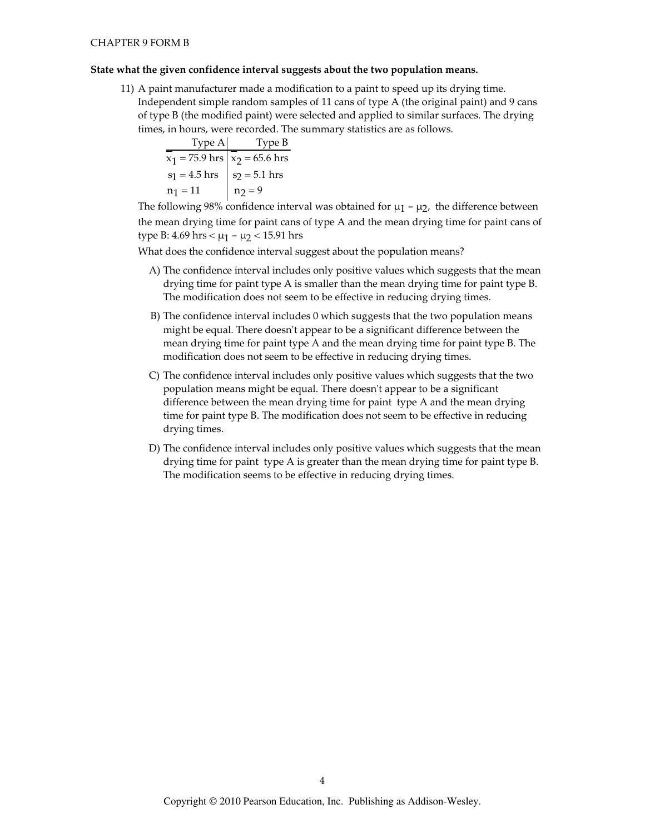### State what the given confidence interval suggests about the two population means.

11) A paint manufacturer made a modification to a paint to speed up its drying time. Independent simple random samples of 11 cans of type A (the original paint) and 9 cans of type B (the modified paint) were selected and applied to similar surfaces. The drying times, in hours, were recorded. The summary statistics are as follows.

| Type A           | Type B           |
|------------------|------------------|
| $x_1 = 75.9$ hrs | $x_2 = 65.6$ hrs |
| $s_1 = 4.5$ hrs  | $s_2 = 5.1$ hrs  |
| $n_1 = 11$       | $n_2 = 9$        |

The following 98% confidence interval was obtained for  $\mu_1$  –  $\mu_2$ , the difference between the mean drying time for paint cans of type A and the mean drying time for paint cans of type B: 4.69 hrs <  $\mu$ 1 -  $\mu$ 2 < 15.91 hrs

What does the confidence interval suggest about the population means?

- A) The confidence interval includes only positive values which suggests that the mean drying time for paint type A is smaller than the mean drying time for paint type B. The modification does not seem to be effective in reducing drying times.
- B) The confidence interval includes 0 which suggests that the two population means might be equal. There doesn't appear to be a significant difference between the mean drying time for paint type A and the mean drying time for paint type B. The modification does not seem to be effective in reducing drying times.
- C) The confidence interval includes only positive values which suggests that the two population means might be equal. There doesn't appear to be a significant difference between the mean drying time for paint type A and the mean drying time for paint type B. The modification does not seem to be effective in reducing drying times.
- D) The confidence interval includes only positive values which suggests that the mean drying time for paint type A is greater than the mean drying time for paint type B. The modification seems to be effective in reducing drying times.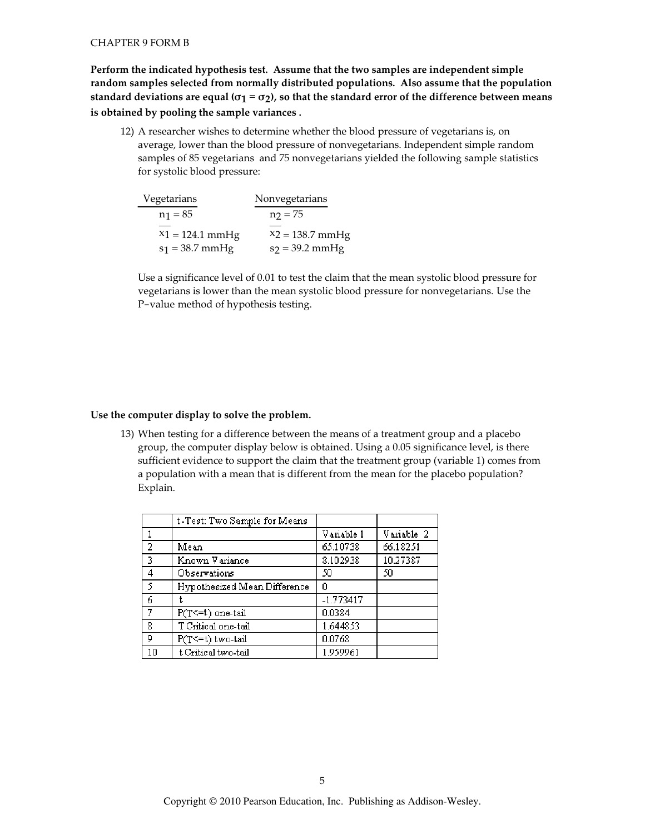### **CHAPTER 9 FORM B**

Perform the indicated hypothesis test. Assume that the two samples are independent simple random samples selected from normally distributed populations. Also assume that the population standard deviations are equal ( $\sigma_1 = \sigma_2$ ), so that the standard error of the difference between means is obtained by pooling the sample variances.

12) A researcher wishes to determine whether the blood pressure of vegetarians is, on average, lower than the blood pressure of nonvegetarians. Independent simple random samples of 85 vegetarians and 75 nonvegetarians yielded the following sample statistics for systolic blood pressure:

| Nonvegetarians     |
|--------------------|
| $n_2 = 75$         |
|                    |
| $X_2 = 138.7$ mmHg |
| $s_2 = 39.2$ mmHg  |
|                    |

Use a significance level of 0.01 to test the claim that the mean systolic blood pressure for vegetarians is lower than the mean systolic blood pressure for nonvegetarians. Use the P-value method of hypothesis testing.

## Use the computer display to solve the problem.

13) When testing for a difference between the means of a treatment group and a placebo group, the computer display below is obtained. Using a 0.05 significance level, is there sufficient evidence to support the claim that the treatment group (variable 1) comes from a population with a mean that is different from the mean for the placebo population? Explain.

|                | t-Test: Two Sample for Means |             |            |
|----------------|------------------------------|-------------|------------|
|                |                              | Variable 1  | Variable 2 |
| $\overline{2}$ | Mean                         | 65.10738    | 66.18251   |
| $\overline{3}$ | Known Variance               | 8.102938    | 10.27387   |
| 4              | Observations                 | 50          | 50         |
| $\overline{5}$ | Hypothesized Mean Difference | Ο           |            |
| $\overline{6}$ |                              | $-1.773417$ |            |
| $\overline{7}$ | P(T<=t) one-tail             | 0.0384      |            |
| 8              | T Critical one-tail          | 1.644853    |            |
| 9              | P(T<=t) two-tail             | 0.0768      |            |
| 10             | t Critical two-tail          | 1.959961    |            |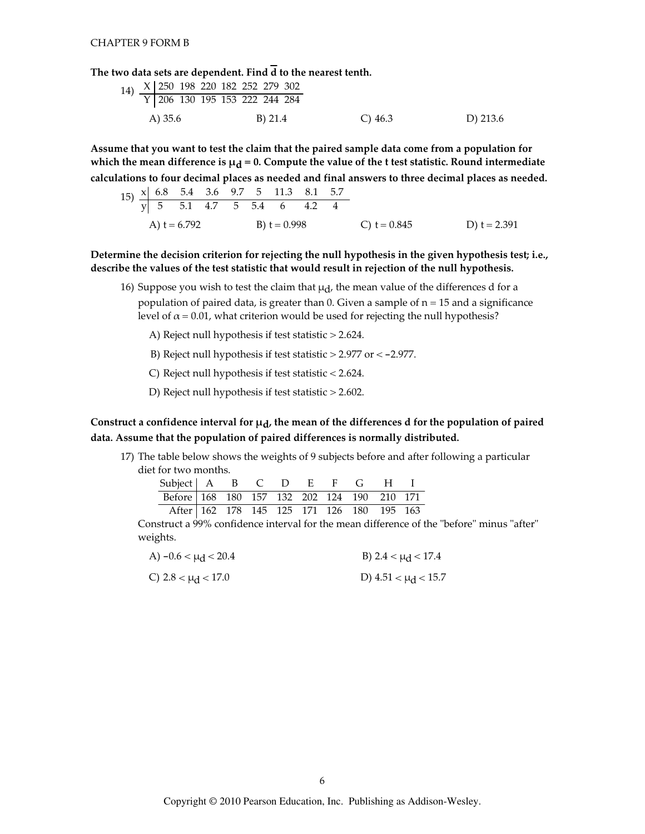The two data sets are dependent. Find  $\overline{d}$  to the nearest tenth.

Assume that you want to test the claim that the paired sample data come from a population for which the mean difference is  $\mu_d = 0$ . Compute the value of the t test statistic. Round intermediate calculations to four decimal places as needed and final answers to three decimal places as needed.

|  | A) $t = 6.792$ |  | B) t = $0.998$ |  | C) t = $0.845$ | D) $t = 2.391$ |
|--|----------------|--|----------------|--|----------------|----------------|

Determine the decision criterion for rejecting the null hypothesis in the given hypothesis test; i.e., describe the values of the test statistic that would result in rejection of the null hypothesis.

- 16) Suppose you wish to test the claim that  $\mu_d$ , the mean value of the differences d for a population of paired data, is greater than 0. Given a sample of  $n = 15$  and a significance level of  $\alpha$  = 0.01, what criterion would be used for rejecting the null hypothesis?
	- A) Reject null hypothesis if test statistic > 2.624.
	- B) Reject null hypothesis if test statistic  $>$  2.977 or  $<$  -2.977.
	- C) Reject null hypothesis if test statistic < 2.624.
	- D) Reject null hypothesis if test statistic > 2.602.

Construct a confidence interval for  $\mu_d$ , the mean of the differences d for the population of paired data. Assume that the population of paired differences is normally distributed.

17) The table below shows the weights of 9 subjects before and after following a particular diet for two months.

| Subject   A B C D E F G H I                |  |  |  |  |  |
|--------------------------------------------|--|--|--|--|--|
| Before 168 180 157 132 202 124 190 210 171 |  |  |  |  |  |
| After 162 178 145 125 171 126 180 195 163  |  |  |  |  |  |

Construct a 99% confidence interval for the mean difference of the "before" minus "after" weights.

| A) $-0.6 < \mu_d < 20.4$ | B) 2.4 < $\mu$ <sub>d</sub> < 17.4 |
|--------------------------|------------------------------------|
| C) $2.8 < \mu_d < 17.0$  | D) $4.51 < \mu_d < 15.7$           |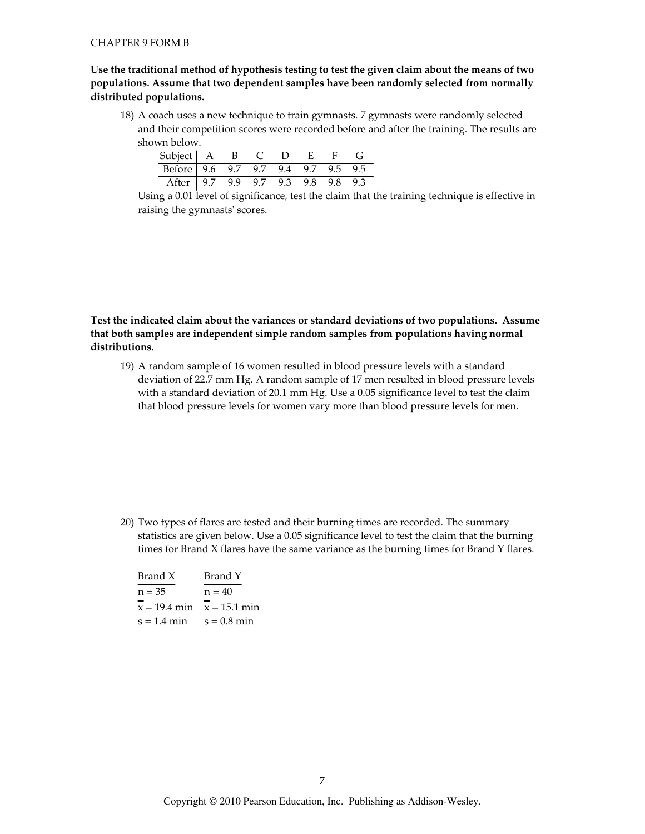Use the traditional method of hypothesis testing to test the given claim about the means of two populations. Assume that two dependent samples have been randomly selected from normally distributed populations.

18) A coach uses a new technique to train gymnasts. 7 gymnasts were randomly selected and their competition scores were recorded before and after the training. The results are shown below.

| Subject   A B C D E F G            |  |  |  |  |
|------------------------------------|--|--|--|--|
| Before 9.6 9.7 9.7 9.4 9.7 9.5 9.5 |  |  |  |  |
| After 9.7 9.9 9.7 9.3 9.8 9.8 9.3  |  |  |  |  |

Using a 0.01 level of significance, test the claim that the training technique is effective in raising the gymnasts' scores.

Test the indicated claim about the variances or standard deviations of two populations. Assume that both samples are independent simple random samples from populations having normal distributions.

19) A random sample of 16 women resulted in blood pressure levels with a standard deviation of 22.7 mm Hg. A random sample of 17 men resulted in blood pressure levels with a standard deviation of 20.1 mm Hg. Use a 0.05 significance level to test the claim that blood pressure levels for women vary more than blood pressure levels for men.

20) Two types of flares are tested and their burning times are recorded. The summary statistics are given below. Use a 0.05 significance level to test the claim that the burning times for Brand X flares have the same variance as the burning times for Brand Y flares.

| Brand Y                       |
|-------------------------------|
| $n = 40$                      |
| $x = 19.4$ min $x = 15.1$ min |
| $s = 0.8$ min                 |
|                               |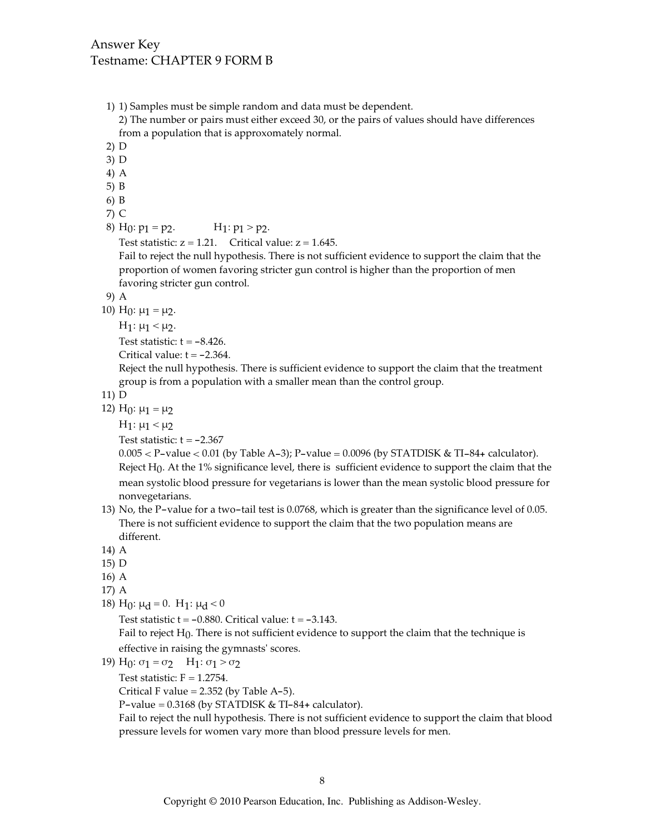- 1) 1) Samples must be simple random and data must be dependent. 2) The number or pairs must either exceed 30, or the pairs of values should have differences from a population that is approxomately normal.  $2)$  D 3) D  $4)$  A  $5) B$  $6)$  B  $7)$  C 8) H<sub>0</sub>:  $p_1 = p_2$ .  $H_1: p_1 > p_2.$ Test statistic:  $z = 1.21$ . Critical value:  $z = 1.645$ . Fail to reject the null hypothesis. There is not sufficient evidence to support the claim that the proportion of women favoring stricter gun control is higher than the proportion of men favoring stricter gun control. 9) A 10) H<sub>0</sub>:  $\mu_1 = \mu_2$ .  $H_1: μ_1 < μ_2$ . Test statistic:  $t = -8.426$ . Critical value:  $t = -2.364$ . Reject the null hypothesis. There is sufficient evidence to support the claim that the treatment group is from a population with a smaller mean than the control group.  $11) D$ 12) H<sub>0</sub>:  $\mu_1 = \mu_2$ H<sub>1</sub>: μ<sub>1</sub> < μ<sub>2</sub> Test statistic:  $t = -2.367$  $0.005 < P$ -value < 0.01 (by Table A-3); P-value = 0.0096 (by STATDISK & TI-84+ calculator). Reject  $H_0$ . At the 1% significance level, there is sufficient evidence to support the claim that the mean systolic blood pressure for vegetarians is lower than the mean systolic blood pressure for nonvegetarians.
- 13) No, the P-value for a two-tail test is 0.0768, which is greater than the significance level of 0.05. There is not sufficient evidence to support the claim that the two population means are different.
- 14) A
- $15)$  D
- $16)$  A
- 17) A
- 18) H<sub>0</sub>:  $\mu$ <sub>d</sub> = 0. H<sub>1</sub>:  $\mu$ <sub>d</sub> < 0

Test statistic  $t = -0.880$ . Critical value:  $t = -3.143$ .

Fail to reject  $H_0$ . There is not sufficient evidence to support the claim that the technique is effective in raising the gymnasts' scores.

19) H<sub>0</sub>:  $\sigma_1 = \sigma_2$  H<sub>1</sub>:  $\sigma_1 > \sigma_2$ 

Test statistic:  $F = 1.2754$ .

Critical F value =  $2.352$  (by Table A-5).

P-value =  $0.3168$  (by STATDISK & TI-84+ calculator).

Fail to reject the null hypothesis. There is not sufficient evidence to support the claim that blood pressure levels for women vary more than blood pressure levels for men.